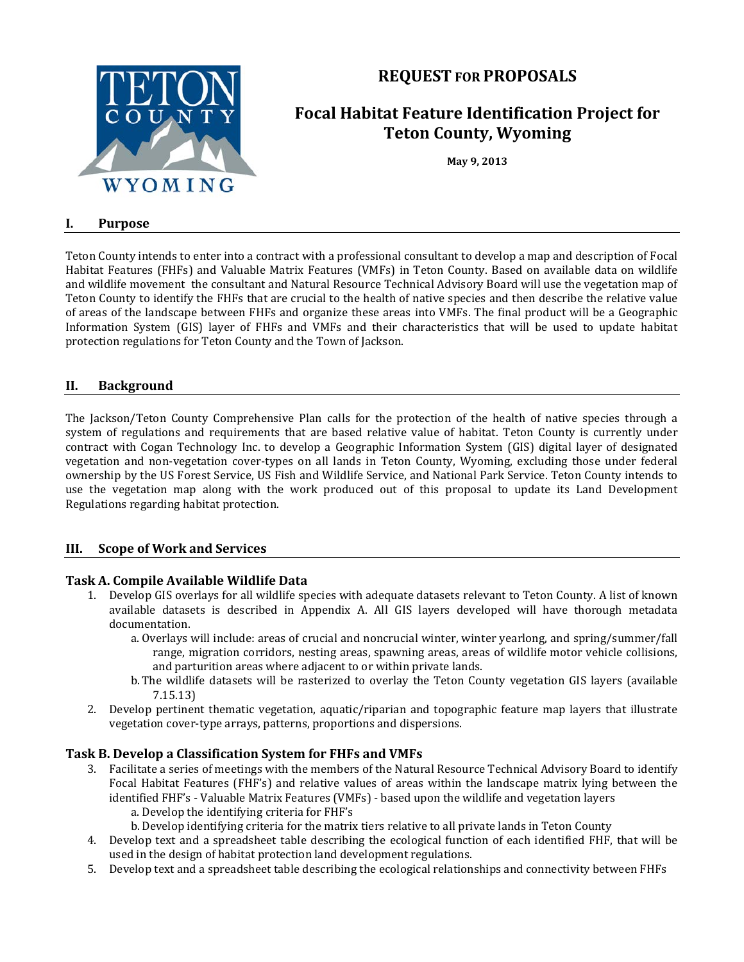

## **REQUEST FOR PROPOSALS**

# **Focal Habitat Feature Identification Project for Teton County, Wyoming**

**May 9, 2013**

#### **I. Purpose**

Teton County intends to enter into a contract with a professional consultant to develop a map and description of Focal Habitat Features (FHFs) and Valuable Matrix Features (VMFs) in Teton County. Based on available data on wildlife and wildlife movement the consultant and Natural Resource Technical Advisory Board will use the vegetation map of Teton County to identify the FHFs that are crucial to the health of native species and then describe the relative value of areas of the landscape between FHFs and organize these areas into VMFs. The final product will be a Geographic Information System (GIS) layer of FHFs and VMFs and their characteristics that will be used to update habitat protection regulations for Teton County and the Town of Jackson.

#### **II. Background**

The Jackson/Teton County Comprehensive Plan calls for the protection of the health of native species through a system of regulations and requirements that are based relative value of habitat. Teton County is currently under contract with Cogan Technology Inc. to develop a Geographic Information System (GIS) digital layer of designated vegetation and non-vegetation cover-types on all lands in Teton County, Wyoming, excluding those under federal ownership by the US Forest Service, US Fish and Wildlife Service, and National Park Service. Teton County intends to use the vegetation map along with the work produced out of this proposal to update its Land Development Regulations regarding habitat protection.

#### **III. Scope of Work and Services**

#### **Task A. Compile Available Wildlife Data**

- 1. Develop GIS overlays for all wildlife species with adequate datasets relevant to Teton County. A list of known available datasets is described in Appendix A. All GIS layers developed will have thorough metadata documentation.
	- a. Overlays will include: areas of crucial and noncrucial winter, winter yearlong, and spring/summer/fall range, migration corridors, nesting areas, spawning areas, areas of wildlife motor vehicle collisions, and parturition areas where adjacent to or within private lands.
	- b. The wildlife datasets will be rasterized to overlay the Teton County vegetation GIS layers (available 7.15.13)
- 2. Develop pertinent thematic vegetation, aquatic/riparian and topographic feature map layers that illustrate vegetation cover-type arrays, patterns, proportions and dispersions.

#### **Task B. Develop a Classification System for FHFs and VMFs**

- 3. Facilitate a series of meetings with the members of the Natural Resource Technical Advisory Board to identify Focal Habitat Features (FHF's) and relative values of areas within the landscape matrix lying between the identified FHF's - Valuable Matrix Features (VMFs) - based upon the wildlife and vegetation layers
	- a. Develop the identifying criteria for FHF's
	- b.Develop identifying criteria for the matrix tiers relative to all private lands in Teton County
- 4. Develop text and a spreadsheet table describing the ecological function of each identified FHF, that will be used in the design of habitat protection land development regulations.
- 5. Develop text and a spreadsheet table describing the ecological relationships and connectivity between FHFs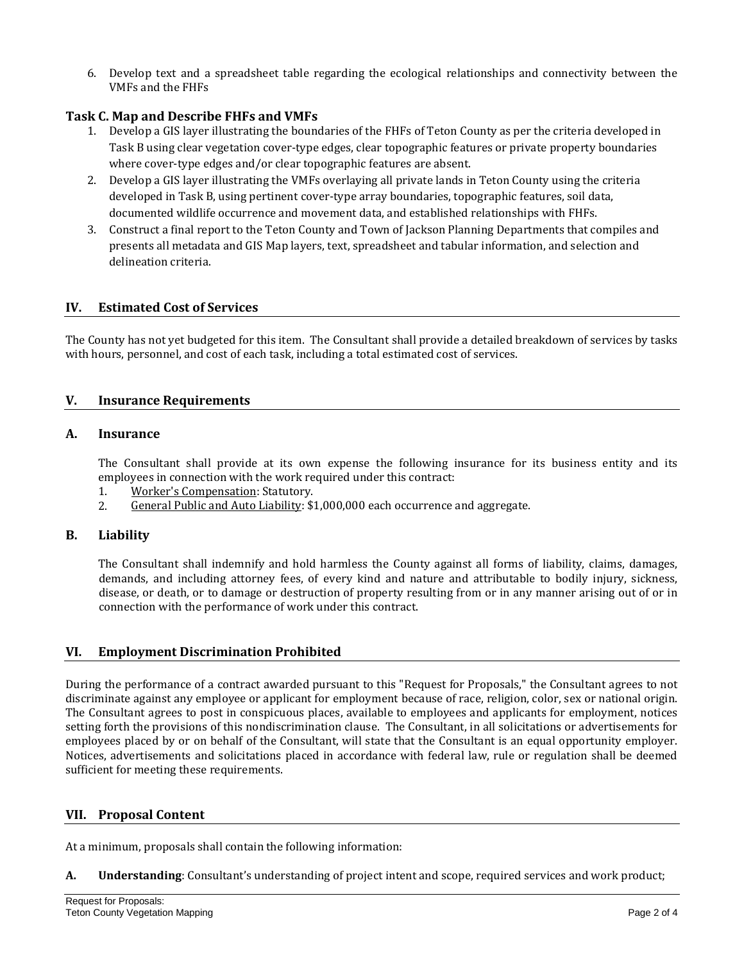6. Develop text and a spreadsheet table regarding the ecological relationships and connectivity between the VMFs and the FHFs

### **Task C. Map and Describe FHFs and VMFs**

- 1. Develop a GIS layer illustrating the boundaries of the FHFs of Teton County as per the criteria developed in Task B using clear vegetation cover-type edges, clear topographic features or private property boundaries where cover-type edges and/or clear topographic features are absent.
- 2. Develop a GIS layer illustrating the VMFs overlaying all private lands in Teton County using the criteria developed in Task B, using pertinent cover-type array boundaries, topographic features, soil data, documented wildlife occurrence and movement data, and established relationships with FHFs.
- 3. Construct a final report to the Teton County and Town of Jackson Planning Departments that compiles and presents all metadata and GIS Map layers, text, spreadsheet and tabular information, and selection and delineation criteria.

#### **IV. Estimated Cost of Services**

The County has not yet budgeted for this item. The Consultant shall provide a detailed breakdown of services by tasks with hours, personnel, and cost of each task, including a total estimated cost of services.

#### **V. Insurance Requirements**

#### **A. Insurance**

The Consultant shall provide at its own expense the following insurance for its business entity and its employees in connection with the work required under this contract:<br>1. Worker's Compensation: Statutory.

- 1. Worker's Compensation: Statutory.<br>2. General Public and Auto Liability: \$2
- General Public and Auto Liability: \$1,000,000 each occurrence and aggregate.

#### **B. Liability**

The Consultant shall indemnify and hold harmless the County against all forms of liability, claims, damages, demands, and including attorney fees, of every kind and nature and attributable to bodily injury, sickness, disease, or death, or to damage or destruction of property resulting from or in any manner arising out of or in connection with the performance of work under this contract.

#### **VI. Employment Discrimination Prohibited**

During the performance of a contract awarded pursuant to this "Request for Proposals," the Consultant agrees to not discriminate against any employee or applicant for employment because of race, religion, color, sex or national origin. The Consultant agrees to post in conspicuous places, available to employees and applicants for employment, notices setting forth the provisions of this nondiscrimination clause. The Consultant, in all solicitations or advertisements for employees placed by or on behalf of the Consultant, will state that the Consultant is an equal opportunity employer. Notices, advertisements and solicitations placed in accordance with federal law, rule or regulation shall be deemed sufficient for meeting these requirements.

#### **VII. Proposal Content**

At a minimum, proposals shall contain the following information:

**A. Understanding**: Consultant's understanding of project intent and scope, required services and work product;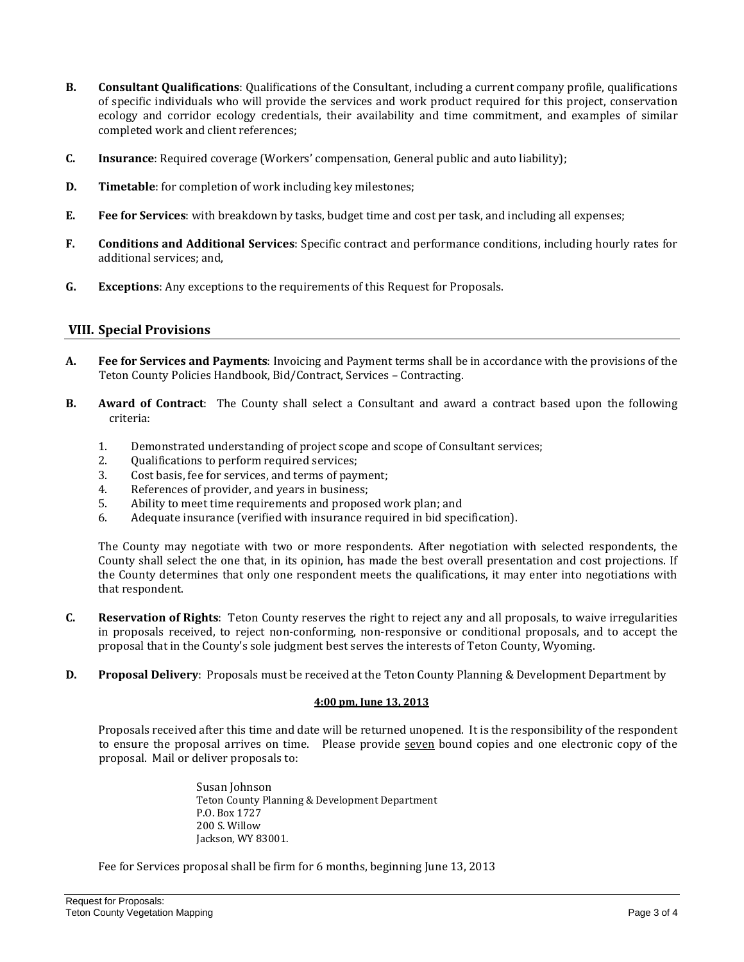- **B. Consultant Qualifications**: Qualifications of the Consultant, including a current company profile, qualifications of specific individuals who will provide the services and work product required for this project, conservation ecology and corridor ecology credentials, their availability and time commitment, and examples of similar completed work and client references;
- **C. Insurance**: Required coverage (Workers' compensation, General public and auto liability);
- **D. Timetable**: for completion of work including key milestones;
- **E. Fee for Services**: with breakdown by tasks, budget time and cost per task, and including all expenses;
- **F. Conditions and Additional Services**: Specific contract and performance conditions, including hourly rates for additional services; and,
- **G. Exceptions**: Any exceptions to the requirements of this Request for Proposals.

#### **VIII. Special Provisions**

- **A. Fee for Services and Payments**: Invoicing and Payment terms shall be in accordance with the provisions of the Teton County Policies Handbook, Bid/Contract, Services – Contracting.
- **B. Award of Contract**: The County shall select a Consultant and award a contract based upon the following criteria:
	- 1. Demonstrated understanding of project scope and scope of Consultant services;<br>2. Oualifications to perform required services:
	- 2. Qualifications to perform required services;<br>3. Cost basis, fee for services, and terms of pavi
	- 3. Cost basis, fee for services, and terms of payment;<br>4. References of provider, and vears in business:
	- 4. References of provider, and years in business;<br>5. Ability to meet time requirements and propose
	- 5. Ability to meet time requirements and proposed work plan; and
	- Adequate insurance (verified with insurance required in bid specification).

The County may negotiate with two or more respondents. After negotiation with selected respondents, the County shall select the one that, in its opinion, has made the best overall presentation and cost projections. If the County determines that only one respondent meets the qualifications, it may enter into negotiations with that respondent.

- **C. Reservation of Rights**: Teton County reserves the right to reject any and all proposals, to waive irregularities in proposals received, to reject non-conforming, non-responsive or conditional proposals, and to accept the proposal that in the County's sole judgment best serves the interests of Teton County, Wyoming.
- **D. Proposal Delivery**: Proposals must be received at the Teton County Planning & Development Department by

#### **4:00 pm, June 13, 2013**

Proposals received after this time and date will be returned unopened. It is the responsibility of the respondent to ensure the proposal arrives on time. Please provide seven bound copies and one electronic copy of the proposal. Mail or deliver proposals to:

> Susan Johnson Teton County Planning & Development Department P.O. Box 1727 200 S. Willow Jackson, WY 83001.

Fee for Services proposal shall be firm for 6 months, beginning June 13, 2013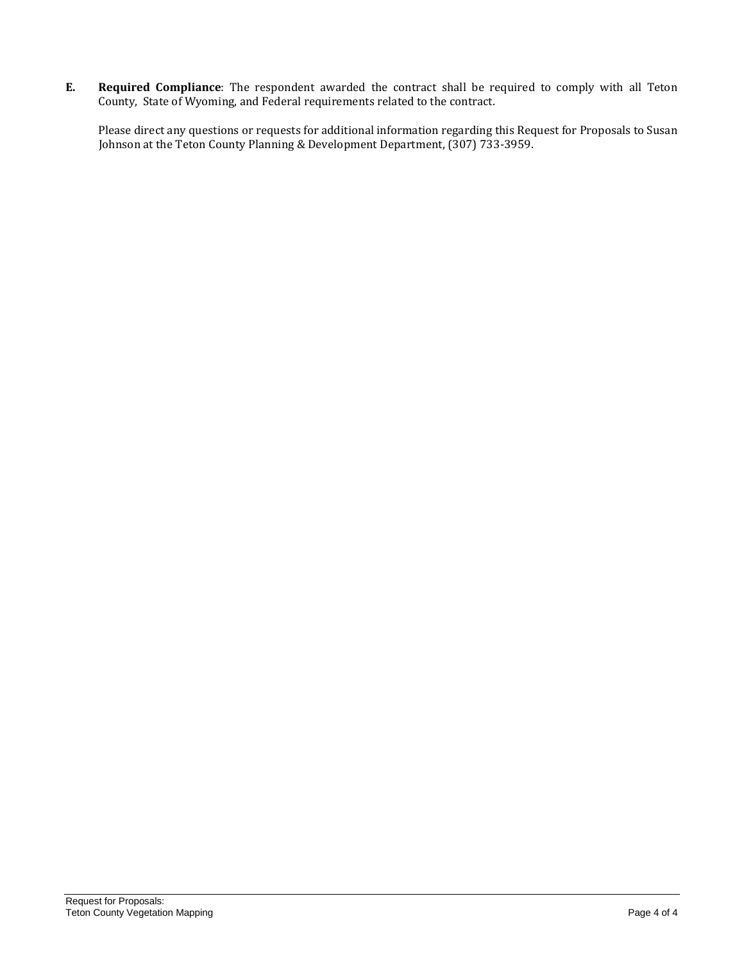**E. Required Compliance**: The respondent awarded the contract shall be required to comply with all Teton County, State of Wyoming, and Federal requirements related to the contract.

Please direct any questions or requests for additional information regarding this Request for Proposals to Susan Johnson at the Teton County Planning & Development Department, (307) 733-3959.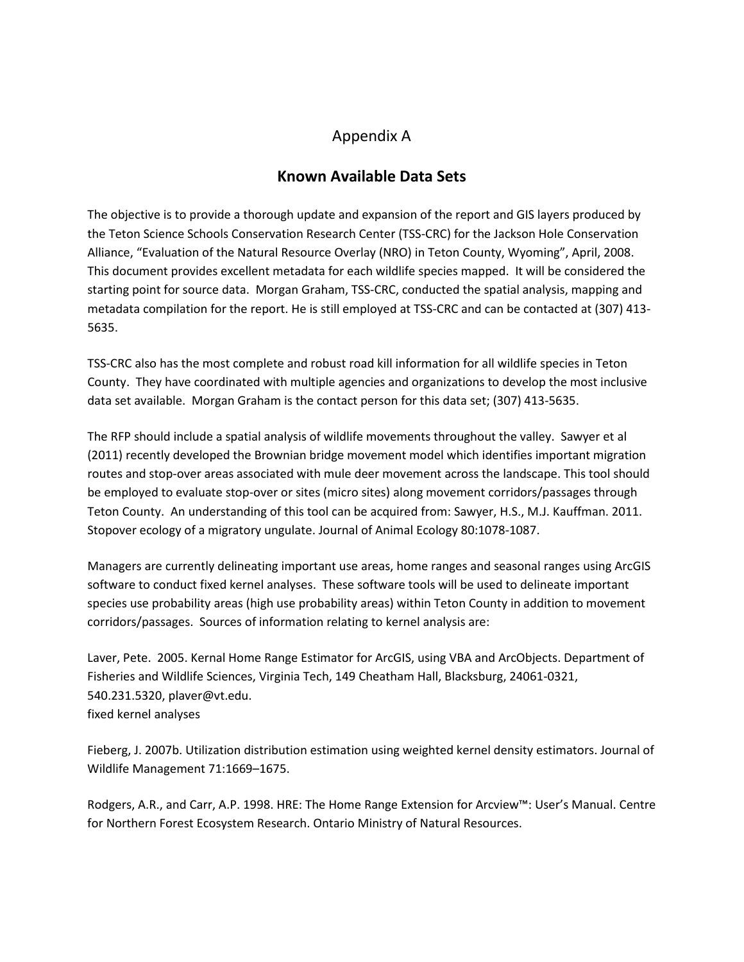## Appendix A

### **Known Available Data Sets**

The objective is to provide a thorough update and expansion of the report and GIS layers produced by the Teton Science Schools Conservation Research Center (TSS-CRC) for the Jackson Hole Conservation Alliance, "Evaluation of the Natural Resource Overlay (NRO) in Teton County, Wyoming", April, 2008. This document provides excellent metadata for each wildlife species mapped. It will be considered the starting point for source data. Morgan Graham, TSS-CRC, conducted the spatial analysis, mapping and metadata compilation for the report. He is still employed at TSS-CRC and can be contacted at (307) 413- 5635.

TSS-CRC also has the most complete and robust road kill information for all wildlife species in Teton County. They have coordinated with multiple agencies and organizations to develop the most inclusive data set available. Morgan Graham is the contact person for this data set; (307) 413-5635.

The RFP should include a spatial analysis of wildlife movements throughout the valley. Sawyer et al (2011) recently developed the Brownian bridge movement model which identifies important migration routes and stop-over areas associated with mule deer movement across the landscape. This tool should be employed to evaluate stop-over or sites (micro sites) along movement corridors/passages through Teton County. An understanding of this tool can be acquired from: Sawyer, H.S., M.J. Kauffman. 2011. Stopover ecology of a migratory ungulate. Journal of Animal Ecology 80:1078-1087.

Managers are currently delineating important use areas, home ranges and seasonal ranges using ArcGIS software to conduct fixed kernel analyses. These software tools will be used to delineate important species use probability areas (high use probability areas) within Teton County in addition to movement corridors/passages. Sources of information relating to kernel analysis are:

Laver, Pete. 2005. Kernal Home Range Estimator for ArcGIS, using VBA and ArcObjects. Department of Fisheries and Wildlife Sciences, Virginia Tech, 149 Cheatham Hall, Blacksburg, 24061-0321, 540.231.5320, plaver@vt.edu. fixed kernel analyses

Fieberg, J. 2007b. Utilization distribution estimation using weighted kernel density estimators. Journal of Wildlife Management 71:1669–1675.

Rodgers, A.R., and Carr, A.P. 1998. HRE: The Home Range Extension for Arcview™: User's Manual. Centre for Northern Forest Ecosystem Research. Ontario Ministry of Natural Resources.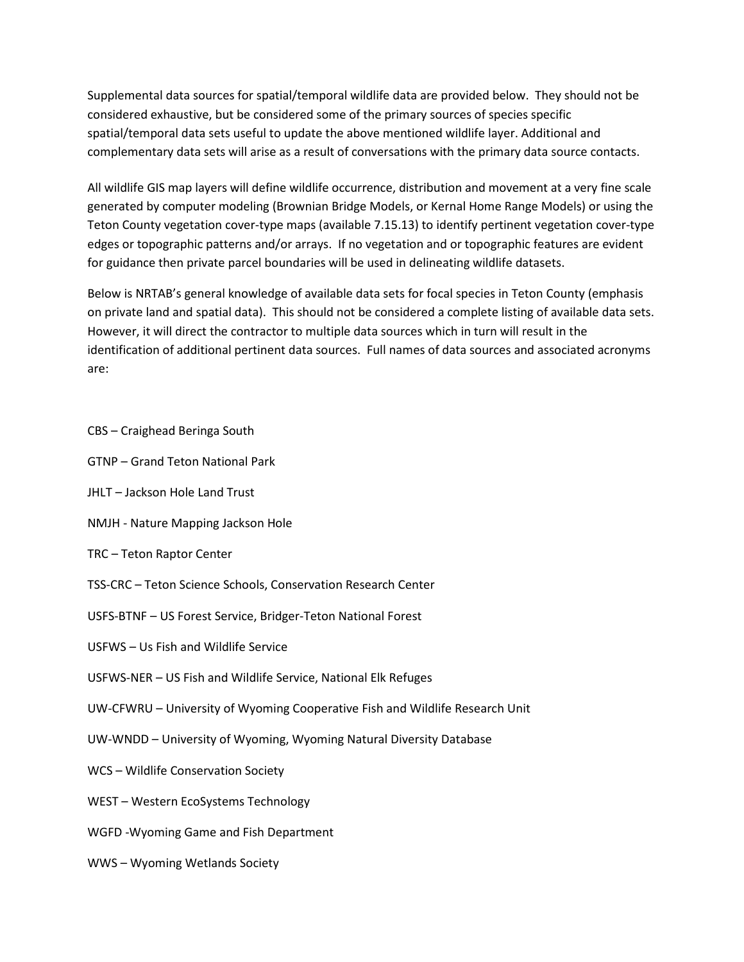Supplemental data sources for spatial/temporal wildlife data are provided below. They should not be considered exhaustive, but be considered some of the primary sources of species specific spatial/temporal data sets useful to update the above mentioned wildlife layer. Additional and complementary data sets will arise as a result of conversations with the primary data source contacts.

All wildlife GIS map layers will define wildlife occurrence, distribution and movement at a very fine scale generated by computer modeling (Brownian Bridge Models, or Kernal Home Range Models) or using the Teton County vegetation cover-type maps (available 7.15.13) to identify pertinent vegetation cover-type edges or topographic patterns and/or arrays. If no vegetation and or topographic features are evident for guidance then private parcel boundaries will be used in delineating wildlife datasets.

Below is NRTAB's general knowledge of available data sets for focal species in Teton County (emphasis on private land and spatial data). This should not be considered a complete listing of available data sets. However, it will direct the contractor to multiple data sources which in turn will result in the identification of additional pertinent data sources. Full names of data sources and associated acronyms are:

- CBS Craighead Beringa South
- GTNP Grand Teton National Park
- JHLT Jackson Hole Land Trust
- NMJH Nature Mapping Jackson Hole
- TRC Teton Raptor Center
- TSS-CRC Teton Science Schools, Conservation Research Center
- USFS-BTNF US Forest Service, Bridger-Teton National Forest
- USFWS Us Fish and Wildlife Service
- USFWS-NER US Fish and Wildlife Service, National Elk Refuges
- UW-CFWRU University of Wyoming Cooperative Fish and Wildlife Research Unit
- UW-WNDD University of Wyoming, Wyoming Natural Diversity Database
- WCS Wildlife Conservation Society
- WEST Western EcoSystems Technology
- WGFD -Wyoming Game and Fish Department
- WWS Wyoming Wetlands Society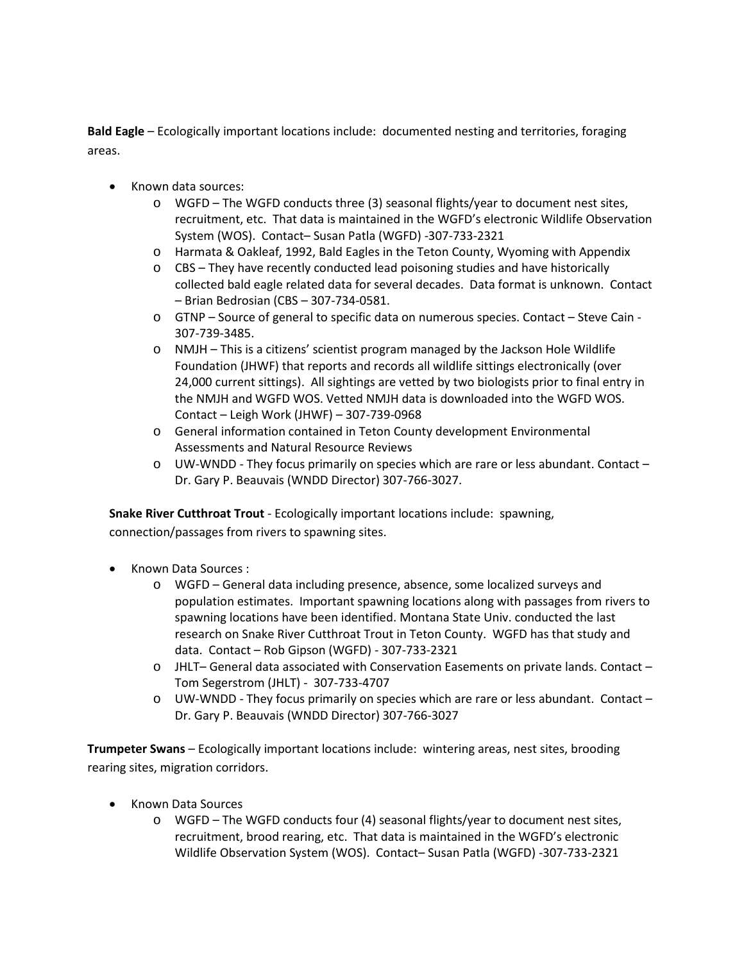**Bald Eagle** – Ecologically important locations include: documented nesting and territories, foraging areas.

- Known data sources:
	- $\circ$  WGFD The WGFD conducts three (3) seasonal flights/year to document nest sites, recruitment, etc. That data is maintained in the WGFD's electronic Wildlife Observation System (WOS). Contact– Susan Patla (WGFD) -307-733-2321
	- o Harmata & Oakleaf, 1992, Bald Eagles in the Teton County, Wyoming with Appendix
	- $\circ$  CBS They have recently conducted lead poisoning studies and have historically collected bald eagle related data for several decades. Data format is unknown. Contact – Brian Bedrosian (CBS – 307-734-0581.
	- o GTNP Source of general to specific data on numerous species. Contact Steve Cain 307-739-3485.
	- o NMJH This is a citizens' scientist program managed by the Jackson Hole Wildlife Foundation (JHWF) that reports and records all wildlife sittings electronically (over 24,000 current sittings). All sightings are vetted by two biologists prior to final entry in the NMJH and WGFD WOS. Vetted NMJH data is downloaded into the WGFD WOS. Contact – Leigh Work (JHWF) – 307-739-0968
	- o General information contained in Teton County development Environmental Assessments and Natural Resource Reviews
	- o UW-WNDD They focus primarily on species which are rare or less abundant. Contact Dr. Gary P. Beauvais (WNDD Director) 307-766-3027.

**Snake River Cutthroat Trout** - Ecologically important locations include: spawning,

connection/passages from rivers to spawning sites.

- Known Data Sources :
	- o WGFD General data including presence, absence, some localized surveys and population estimates. Important spawning locations along with passages from rivers to spawning locations have been identified. Montana State Univ. conducted the last research on Snake River Cutthroat Trout in Teton County. WGFD has that study and data. Contact – Rob Gipson (WGFD) - 307-733-2321
	- o JHLT– General data associated with Conservation Easements on private lands. Contact Tom Segerstrom (JHLT) - 307-733-4707
	- o UW-WNDD They focus primarily on species which are rare or less abundant. Contact Dr. Gary P. Beauvais (WNDD Director) 307-766-3027

**Trumpeter Swans** – Ecologically important locations include: wintering areas, nest sites, brooding rearing sites, migration corridors.

- Known Data Sources
	- o WGFD The WGFD conducts four (4) seasonal flights/year to document nest sites, recruitment, brood rearing, etc. That data is maintained in the WGFD's electronic Wildlife Observation System (WOS). Contact– Susan Patla (WGFD) -307-733-2321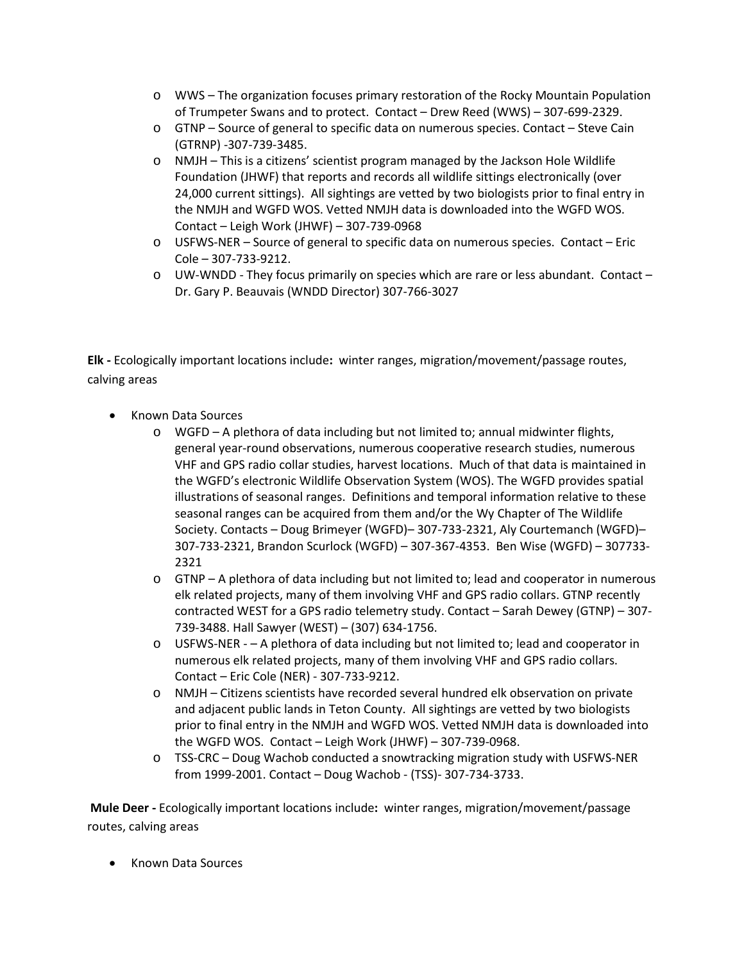- o WWS The organization focuses primary restoration of the Rocky Mountain Population of Trumpeter Swans and to protect. Contact – Drew Reed (WWS) – 307-699-2329.
- o GTNP Source of general to specific data on numerous species. Contact Steve Cain (GTRNP) -307-739-3485.
- o NMJH This is a citizens' scientist program managed by the Jackson Hole Wildlife Foundation (JHWF) that reports and records all wildlife sittings electronically (over 24,000 current sittings). All sightings are vetted by two biologists prior to final entry in the NMJH and WGFD WOS. Vetted NMJH data is downloaded into the WGFD WOS. Contact – Leigh Work (JHWF) – 307-739-0968
- o USFWS-NER Source of general to specific data on numerous species. Contact Eric Cole – 307-733-9212.
- $\circ$  UW-WNDD They focus primarily on species which are rare or less abundant. Contact Dr. Gary P. Beauvais (WNDD Director) 307-766-3027

**Elk -** Ecologically important locations include**:** winter ranges, migration/movement/passage routes, calving areas

- Known Data Sources
	- o WGFD A plethora of data including but not limited to; annual midwinter flights, general year-round observations, numerous cooperative research studies, numerous VHF and GPS radio collar studies, harvest locations. Much of that data is maintained in the WGFD's electronic Wildlife Observation System (WOS). The WGFD provides spatial illustrations of seasonal ranges. Definitions and temporal information relative to these seasonal ranges can be acquired from them and/or the Wy Chapter of The Wildlife Society. Contacts – Doug Brimeyer (WGFD)– 307-733-2321, Aly Courtemanch (WGFD)– 307-733-2321, Brandon Scurlock (WGFD) – 307-367-4353. Ben Wise (WGFD) – 307733- 2321
	- o GTNP A plethora of data including but not limited to; lead and cooperator in numerous elk related projects, many of them involving VHF and GPS radio collars. GTNP recently contracted WEST for a GPS radio telemetry study. Contact – Sarah Dewey (GTNP) – 307- 739-3488. Hall Sawyer (WEST) – (307) 634-1756.
	- o USFWS-NER – A plethora of data including but not limited to; lead and cooperator in numerous elk related projects, many of them involving VHF and GPS radio collars. Contact – Eric Cole (NER) - 307-733-9212.
	- o NMJH Citizens scientists have recorded several hundred elk observation on private and adjacent public lands in Teton County. All sightings are vetted by two biologists prior to final entry in the NMJH and WGFD WOS. Vetted NMJH data is downloaded into the WGFD WOS. Contact – Leigh Work (JHWF) – 307-739-0968.
	- o TSS-CRC Doug Wachob conducted a snowtracking migration study with USFWS-NER from 1999-2001. Contact – Doug Wachob - (TSS)- 307-734-3733.

**Mule Deer -** Ecologically important locations include**:** winter ranges, migration/movement/passage routes, calving areas

• Known Data Sources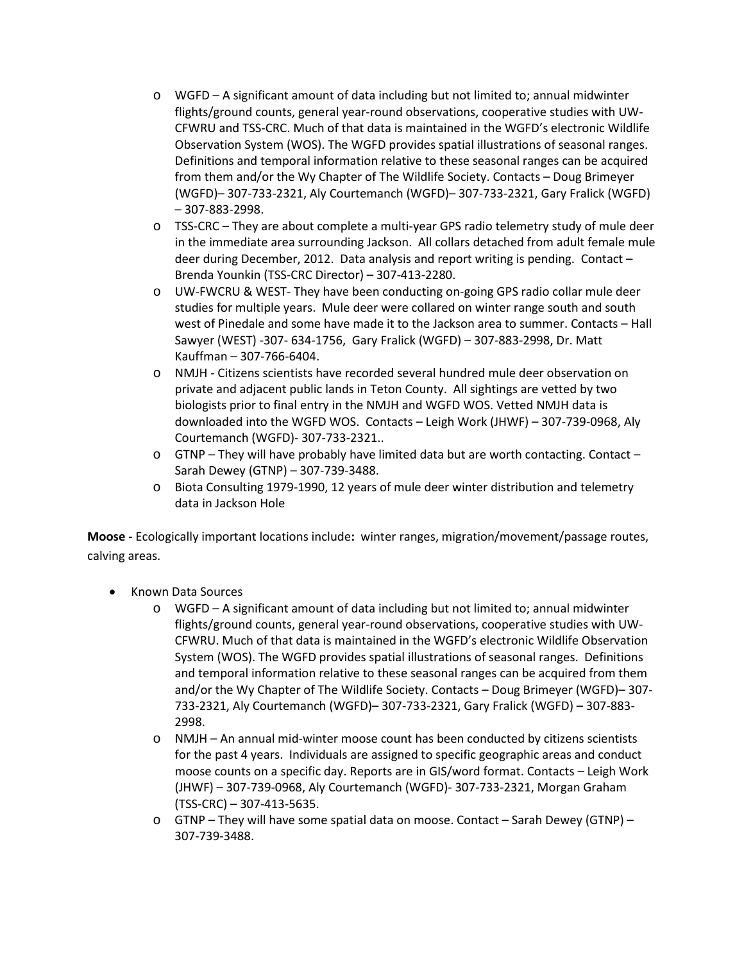- $\circ$  WGFD A significant amount of data including but not limited to; annual midwinter flights/ground counts, general year-round observations, cooperative studies with UW-CFWRU and TSS-CRC. Much of that data is maintained in the WGFD's electronic Wildlife Observation System (WOS). The WGFD provides spatial illustrations of seasonal ranges. Definitions and temporal information relative to these seasonal ranges can be acquired from them and/or the Wy Chapter of The Wildlife Society. Contacts – Doug Brimeyer (WGFD)– 307-733-2321, Aly Courtemanch (WGFD)– 307-733-2321, Gary Fralick (WGFD) – 307-883-2998.
- o TSS-CRC They are about complete a multi-year GPS radio telemetry study of mule deer in the immediate area surrounding Jackson. All collars detached from adult female mule deer during December, 2012. Data analysis and report writing is pending. Contact – Brenda Younkin (TSS-CRC Director) – 307-413-2280.
- o UW-FWCRU & WEST- They have been conducting on-going GPS radio collar mule deer studies for multiple years. Mule deer were collared on winter range south and south west of Pinedale and some have made it to the Jackson area to summer. Contacts – Hall Sawyer (WEST) -307- 634-1756, Gary Fralick (WGFD) – 307-883-2998, Dr. Matt Kauffman – 307-766-6404.
- o NMJH Citizens scientists have recorded several hundred mule deer observation on private and adjacent public lands in Teton County. All sightings are vetted by two biologists prior to final entry in the NMJH and WGFD WOS. Vetted NMJH data is downloaded into the WGFD WOS. Contacts – Leigh Work (JHWF) – 307-739-0968, Aly Courtemanch (WGFD)- 307-733-2321..
- $\circ$  GTNP They will have probably have limited data but are worth contacting. Contact Sarah Dewey (GTNP) – 307-739-3488.
- o Biota Consulting 1979-1990, 12 years of mule deer winter distribution and telemetry data in Jackson Hole

**Moose -** Ecologically important locations include**:** winter ranges, migration/movement/passage routes, calving areas.

- Known Data Sources
	- o WGFD A significant amount of data including but not limited to; annual midwinter flights/ground counts, general year-round observations, cooperative studies with UW-CFWRU. Much of that data is maintained in the WGFD's electronic Wildlife Observation System (WOS). The WGFD provides spatial illustrations of seasonal ranges. Definitions and temporal information relative to these seasonal ranges can be acquired from them and/or the Wy Chapter of The Wildlife Society. Contacts – Doug Brimeyer (WGFD)– 307- 733-2321, Aly Courtemanch (WGFD)– 307-733-2321, Gary Fralick (WGFD) – 307-883- 2998.
	- o NMJH An annual mid-winter moose count has been conducted by citizens scientists for the past 4 years. Individuals are assigned to specific geographic areas and conduct moose counts on a specific day. Reports are in GIS/word format. Contacts – Leigh Work (JHWF) – 307-739-0968, Aly Courtemanch (WGFD)- 307-733-2321, Morgan Graham (TSS-CRC) – 307-413-5635.
	- $\circ$  GTNP They will have some spatial data on moose. Contact Sarah Dewey (GTNP) 307-739-3488.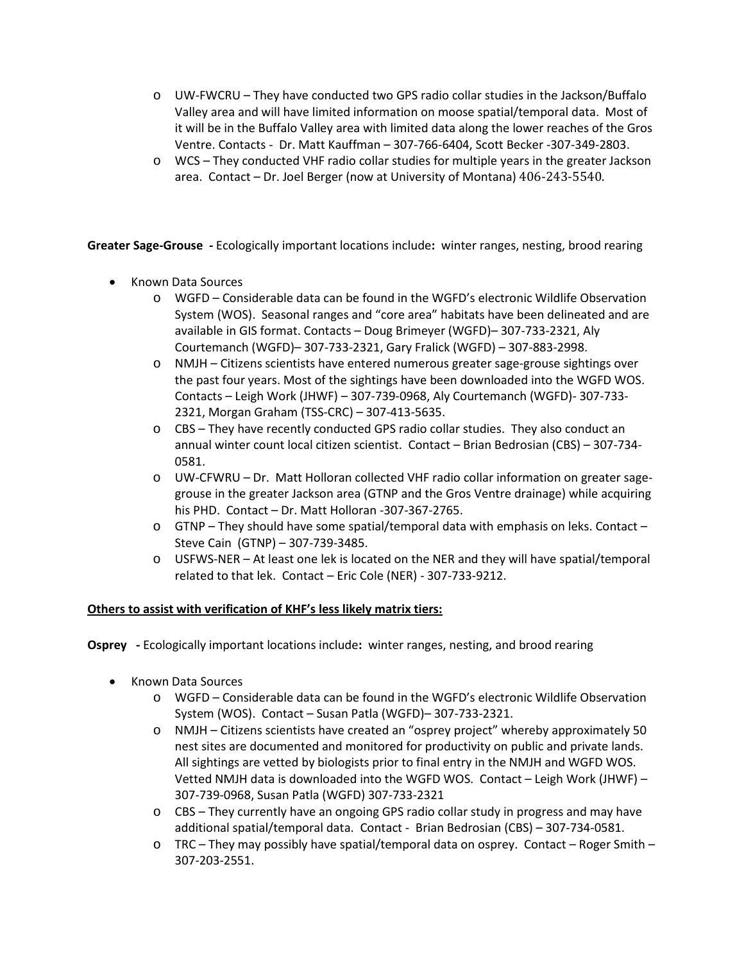- o UW-FWCRU They have conducted two GPS radio collar studies in the Jackson/Buffalo Valley area and will have limited information on moose spatial/temporal data. Most of it will be in the Buffalo Valley area with limited data along the lower reaches of the Gros Ventre. Contacts - Dr. Matt Kauffman – 307-766-6404, Scott Becker -307-349-2803.
- o WCS They conducted VHF radio collar studies for multiple years in the greater Jackson area. Contact – Dr. Joel Berger (now at University of Montana) 406-243-5540.

**Greater Sage-Grouse -** Ecologically important locations include**:** winter ranges, nesting, brood rearing

- Known Data Sources
	- o WGFD Considerable data can be found in the WGFD's electronic Wildlife Observation System (WOS). Seasonal ranges and "core area" habitats have been delineated and are available in GIS format. Contacts – Doug Brimeyer (WGFD)– 307-733-2321, Aly Courtemanch (WGFD)– 307-733-2321, Gary Fralick (WGFD) – 307-883-2998.
	- o NMJH Citizens scientists have entered numerous greater sage-grouse sightings over the past four years. Most of the sightings have been downloaded into the WGFD WOS. Contacts – Leigh Work (JHWF) – 307-739-0968, Aly Courtemanch (WGFD)- 307-733- 2321, Morgan Graham (TSS-CRC) – 307-413-5635.
	- $\circ$  CBS They have recently conducted GPS radio collar studies. They also conduct an annual winter count local citizen scientist. Contact – Brian Bedrosian (CBS) – 307-734- 0581.
	- o UW-CFWRU Dr. Matt Holloran collected VHF radio collar information on greater sagegrouse in the greater Jackson area (GTNP and the Gros Ventre drainage) while acquiring his PHD. Contact – Dr. Matt Holloran -307-367-2765.
	- o GTNP They should have some spatial/temporal data with emphasis on leks. Contact Steve Cain (GTNP) – 307-739-3485.
	- o USFWS-NER At least one lek is located on the NER and they will have spatial/temporal related to that lek. Contact – Eric Cole (NER) - 307-733-9212.

#### **Others to assist with verification of KHF's less likely matrix tiers:**

**Osprey -** Ecologically important locations include**:** winter ranges, nesting, and brood rearing

- Known Data Sources
	- o WGFD Considerable data can be found in the WGFD's electronic Wildlife Observation System (WOS). Contact – Susan Patla (WGFD)– 307-733-2321.
	- o NMJH Citizens scientists have created an "osprey project" whereby approximately 50 nest sites are documented and monitored for productivity on public and private lands. All sightings are vetted by biologists prior to final entry in the NMJH and WGFD WOS. Vetted NMJH data is downloaded into the WGFD WOS. Contact – Leigh Work (JHWF) – 307-739-0968, Susan Patla (WGFD) 307-733-2321
	- o CBS They currently have an ongoing GPS radio collar study in progress and may have additional spatial/temporal data. Contact - Brian Bedrosian (CBS) – 307-734-0581.
	- $\circ$  TRC They may possibly have spatial/temporal data on osprey. Contact Roger Smith 307-203-2551.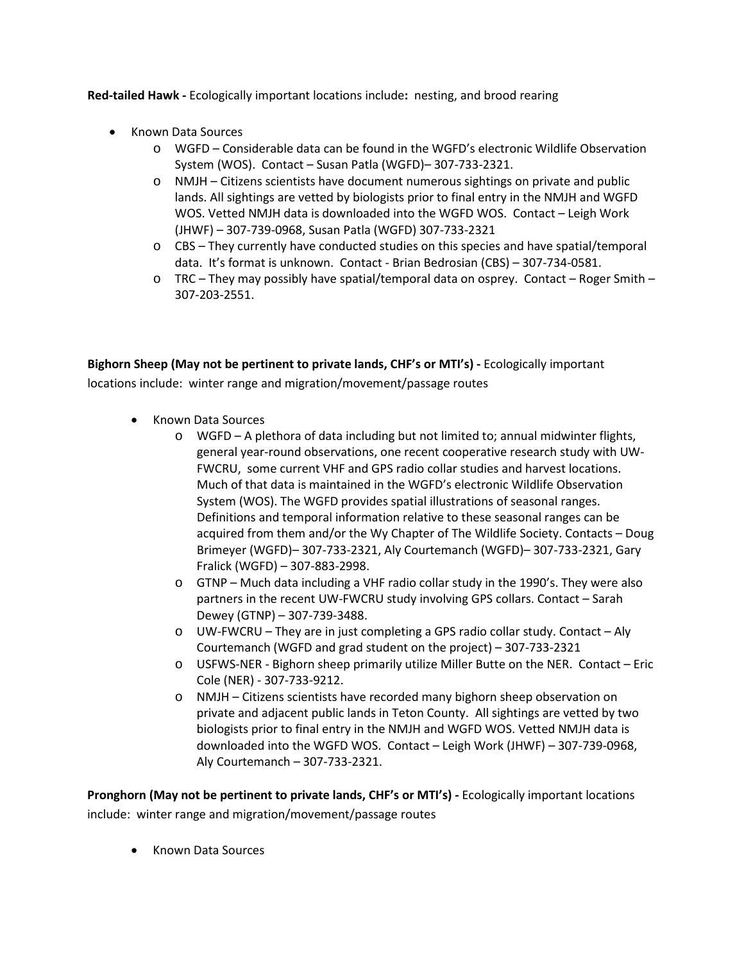**Red-tailed Hawk -** Ecologically important locations include**:** nesting, and brood rearing

- Known Data Sources
	- o WGFD Considerable data can be found in the WGFD's electronic Wildlife Observation System (WOS). Contact – Susan Patla (WGFD)– 307-733-2321.
	- o NMJH Citizens scientists have document numerous sightings on private and public lands. All sightings are vetted by biologists prior to final entry in the NMJH and WGFD WOS. Vetted NMJH data is downloaded into the WGFD WOS. Contact – Leigh Work (JHWF) – 307-739-0968, Susan Patla (WGFD) 307-733-2321
	- o CBS They currently have conducted studies on this species and have spatial/temporal data. It's format is unknown. Contact - Brian Bedrosian (CBS) – 307-734-0581.
	- o TRC They may possibly have spatial/temporal data on osprey. Contact Roger Smith 307-203-2551.

**Bighorn Sheep (May not be pertinent to private lands, CHF's or MTI's) -** Ecologically important locations include: winter range and migration/movement/passage routes

- Known Data Sources
	- o WGFD A plethora of data including but not limited to; annual midwinter flights, general year-round observations, one recent cooperative research study with UW-FWCRU, some current VHF and GPS radio collar studies and harvest locations. Much of that data is maintained in the WGFD's electronic Wildlife Observation System (WOS). The WGFD provides spatial illustrations of seasonal ranges. Definitions and temporal information relative to these seasonal ranges can be acquired from them and/or the Wy Chapter of The Wildlife Society. Contacts – Doug Brimeyer (WGFD)– 307-733-2321, Aly Courtemanch (WGFD)– 307-733-2321, Gary Fralick (WGFD) – 307-883-2998.
	- $\circ$  GTNP Much data including a VHF radio collar study in the 1990's. They were also partners in the recent UW-FWCRU study involving GPS collars. Contact – Sarah Dewey (GTNP) – 307-739-3488.
	- $\circ$  UW-FWCRU They are in just completing a GPS radio collar study. Contact Aly Courtemanch (WGFD and grad student on the project) – 307-733-2321
	- o USFWS-NER Bighorn sheep primarily utilize Miller Butte on the NER. Contact Eric Cole (NER) - 307-733-9212.
	- o NMJH Citizens scientists have recorded many bighorn sheep observation on private and adjacent public lands in Teton County. All sightings are vetted by two biologists prior to final entry in the NMJH and WGFD WOS. Vetted NMJH data is downloaded into the WGFD WOS. Contact – Leigh Work (JHWF) – 307-739-0968, Aly Courtemanch – 307-733-2321.

**Pronghorn (May not be pertinent to private lands, CHF's or MTI's) -** Ecologically important locations include: winter range and migration/movement/passage routes

• Known Data Sources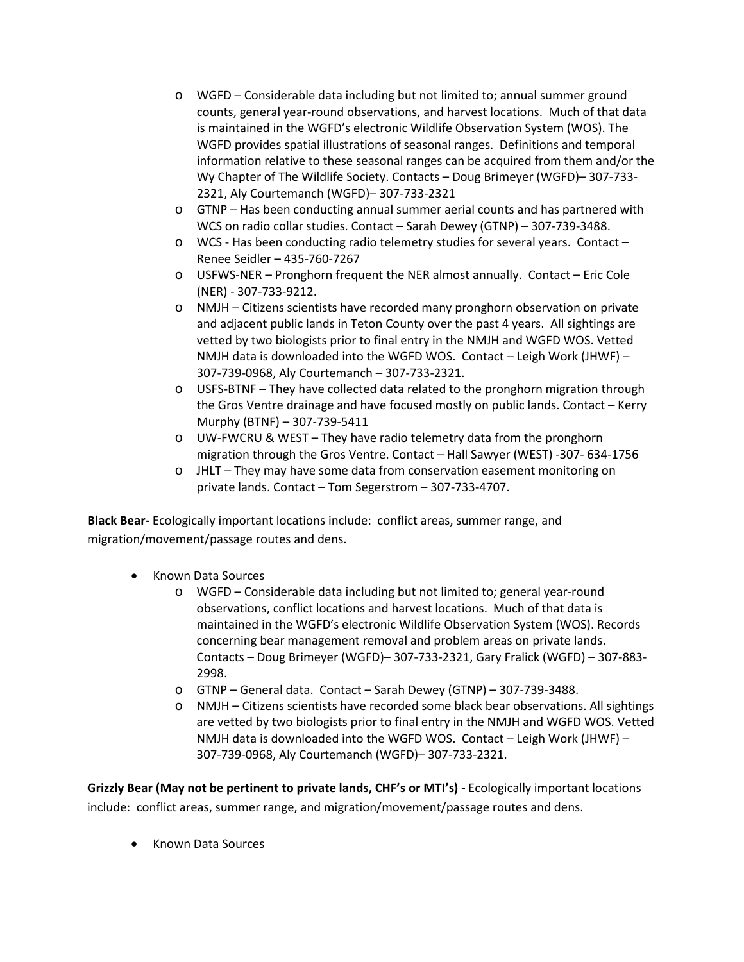- o WGFD Considerable data including but not limited to; annual summer ground counts, general year-round observations, and harvest locations. Much of that data is maintained in the WGFD's electronic Wildlife Observation System (WOS). The WGFD provides spatial illustrations of seasonal ranges. Definitions and temporal information relative to these seasonal ranges can be acquired from them and/or the Wy Chapter of The Wildlife Society. Contacts – Doug Brimeyer (WGFD)– 307-733- 2321, Aly Courtemanch (WGFD)– 307-733-2321
- o GTNP Has been conducting annual summer aerial counts and has partnered with WCS on radio collar studies. Contact – Sarah Dewey (GTNP) – 307-739-3488.
- o WCS Has been conducting radio telemetry studies for several years. Contact Renee Seidler – 435-760-7267
- o USFWS-NER Pronghorn frequent the NER almost annually. Contact Eric Cole (NER) - 307-733-9212.
- o NMJH Citizens scientists have recorded many pronghorn observation on private and adjacent public lands in Teton County over the past 4 years. All sightings are vetted by two biologists prior to final entry in the NMJH and WGFD WOS. Vetted NMJH data is downloaded into the WGFD WOS. Contact – Leigh Work (JHWF) – 307-739-0968, Aly Courtemanch – 307-733-2321.
- o USFS-BTNF They have collected data related to the pronghorn migration through the Gros Ventre drainage and have focused mostly on public lands. Contact – Kerry Murphy (BTNF) – 307-739-5411
- o UW-FWCRU & WEST They have radio telemetry data from the pronghorn migration through the Gros Ventre. Contact – Hall Sawyer (WEST) -307- 634-1756
- o JHLT They may have some data from conservation easement monitoring on private lands. Contact – Tom Segerstrom – 307-733-4707.

**Black Bear-** Ecologically important locations include: conflict areas, summer range, and migration/movement/passage routes and dens.

- Known Data Sources
	- o WGFD Considerable data including but not limited to; general year-round observations, conflict locations and harvest locations. Much of that data is maintained in the WGFD's electronic Wildlife Observation System (WOS). Records concerning bear management removal and problem areas on private lands. Contacts – Doug Brimeyer (WGFD)– 307-733-2321, Gary Fralick (WGFD) – 307-883- 2998.
	- o GTNP General data. Contact Sarah Dewey (GTNP) 307-739-3488.
	- o NMJH Citizens scientists have recorded some black bear observations. All sightings are vetted by two biologists prior to final entry in the NMJH and WGFD WOS. Vetted NMJH data is downloaded into the WGFD WOS. Contact – Leigh Work (JHWF) – 307-739-0968, Aly Courtemanch (WGFD)– 307-733-2321.

**Grizzly Bear (May not be pertinent to private lands, CHF's or MTI's) -** Ecologically important locations include: conflict areas, summer range, and migration/movement/passage routes and dens.

• Known Data Sources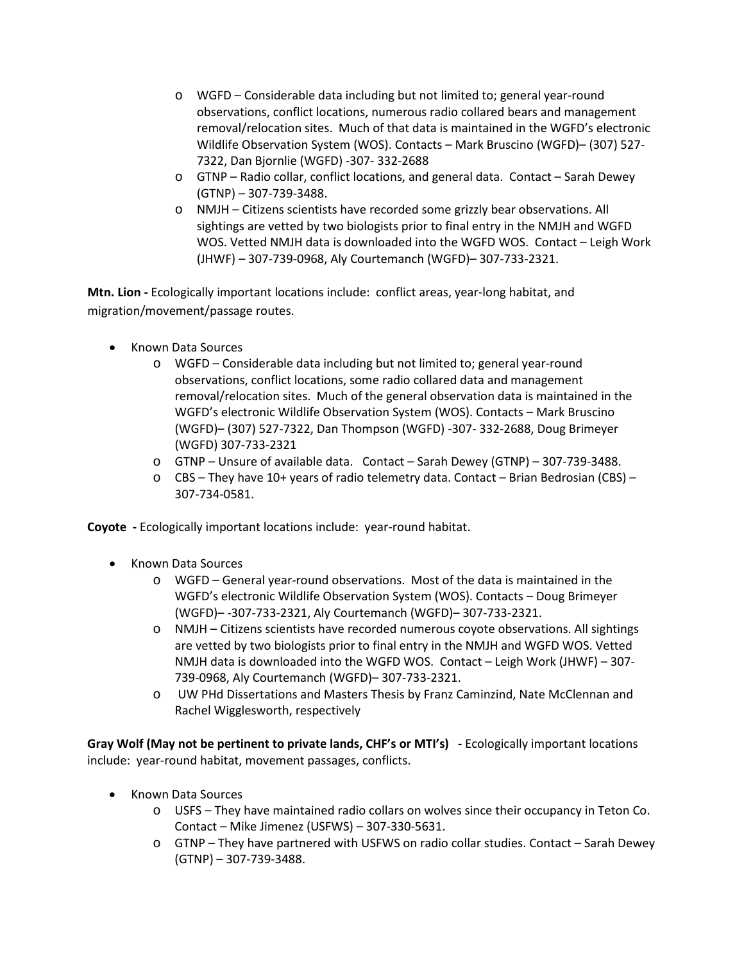- o WGFD Considerable data including but not limited to; general year-round observations, conflict locations, numerous radio collared bears and management removal/relocation sites. Much of that data is maintained in the WGFD's electronic Wildlife Observation System (WOS). Contacts – Mark Bruscino (WGFD)– (307) 527- 7322, Dan Bjornlie (WGFD) -307- 332-2688
- o GTNP Radio collar, conflict locations, and general data. Contact Sarah Dewey (GTNP) – 307-739-3488.
- o NMJH Citizens scientists have recorded some grizzly bear observations. All sightings are vetted by two biologists prior to final entry in the NMJH and WGFD WOS. Vetted NMJH data is downloaded into the WGFD WOS. Contact – Leigh Work (JHWF) – 307-739-0968, Aly Courtemanch (WGFD)– 307-733-2321.

**Mtn. Lion -** Ecologically important locations include: conflict areas, year-long habitat, and migration/movement/passage routes.

- Known Data Sources
	- o WGFD Considerable data including but not limited to; general year-round observations, conflict locations, some radio collared data and management removal/relocation sites. Much of the general observation data is maintained in the WGFD's electronic Wildlife Observation System (WOS). Contacts – Mark Bruscino (WGFD)– (307) 527-7322, Dan Thompson (WGFD) -307- 332-2688, Doug Brimeyer (WGFD) 307-733-2321
	- o GTNP Unsure of available data. Contact Sarah Dewey (GTNP) 307-739-3488.
	- o CBS They have 10+ years of radio telemetry data. Contact Brian Bedrosian (CBS) 307-734-0581.

**Coyote -** Ecologically important locations include: year-round habitat.

- Known Data Sources
	- o WGFD General year-round observations. Most of the data is maintained in the WGFD's electronic Wildlife Observation System (WOS). Contacts – Doug Brimeyer (WGFD)– -307-733-2321, Aly Courtemanch (WGFD)– 307-733-2321.
	- o NMJH Citizens scientists have recorded numerous coyote observations. All sightings are vetted by two biologists prior to final entry in the NMJH and WGFD WOS. Vetted NMJH data is downloaded into the WGFD WOS. Contact – Leigh Work (JHWF) – 307- 739-0968, Aly Courtemanch (WGFD)– 307-733-2321.
	- o UW PHd Dissertations and Masters Thesis by Franz Caminzind, Nate McClennan and Rachel Wigglesworth, respectively

**Gray Wolf (May not be pertinent to private lands, CHF's or MTI's) -** Ecologically important locations include: year-round habitat, movement passages, conflicts.

- Known Data Sources
	- o USFS They have maintained radio collars on wolves since their occupancy in Teton Co. Contact – Mike Jimenez (USFWS) – 307-330-5631.
	- o GTNP They have partnered with USFWS on radio collar studies. Contact Sarah Dewey (GTNP) – 307-739-3488.